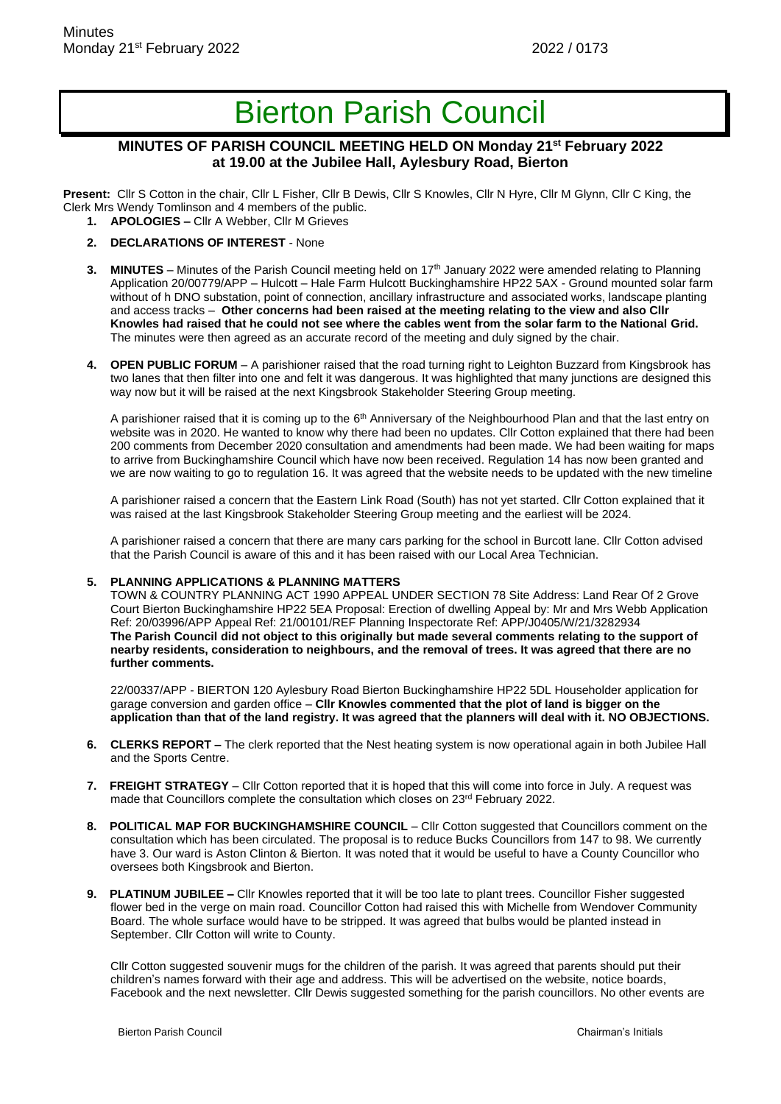# Bierton Parish Council

## **MINUTES OF PARISH COUNCIL MEETING HELD ON Monday 21st February 2022 at 19.00 at the Jubilee Hall, Aylesbury Road, Bierton**

**Present:** Cllr S Cotton in the chair, Cllr L Fisher, Cllr B Dewis, Cllr S Knowles, Cllr N Hyre, Cllr M Glynn, Cllr C King, the Clerk Mrs Wendy Tomlinson and 4 members of the public.

- **1. APOLOGIES –** Cllr A Webber, Cllr M Grieves
- **2. DECLARATIONS OF INTEREST**  None
- **3. MINUTES** Minutes of the Parish Council meeting held on 17<sup>th</sup> January 2022 were amended relating to Planning Application 20/00779/APP – Hulcott – Hale Farm Hulcott Buckinghamshire HP22 5AX - Ground mounted solar farm without of h DNO substation, point of connection, ancillary infrastructure and associated works, landscape planting and access tracks – **Other concerns had been raised at the meeting relating to the view and also Cllr Knowles had raised that he could not see where the cables went from the solar farm to the National Grid.** The minutes were then agreed as an accurate record of the meeting and duly signed by the chair.
- **4. OPEN PUBLIC FORUM**  A parishioner raised that the road turning right to Leighton Buzzard from Kingsbrook has two lanes that then filter into one and felt it was dangerous. It was highlighted that many junctions are designed this way now but it will be raised at the next Kingsbrook Stakeholder Steering Group meeting.

A parishioner raised that it is coming up to the 6<sup>th</sup> Anniversary of the Neighbourhood Plan and that the last entry on website was in 2020. He wanted to know why there had been no updates. Cllr Cotton explained that there had been 200 comments from December 2020 consultation and amendments had been made. We had been waiting for maps to arrive from Buckinghamshire Council which have now been received. Regulation 14 has now been granted and we are now waiting to go to regulation 16. It was agreed that the website needs to be updated with the new timeline

A parishioner raised a concern that the Eastern Link Road (South) has not yet started. Cllr Cotton explained that it was raised at the last Kingsbrook Stakeholder Steering Group meeting and the earliest will be 2024.

A parishioner raised a concern that there are many cars parking for the school in Burcott lane. Cllr Cotton advised that the Parish Council is aware of this and it has been raised with our Local Area Technician.

#### **5. PLANNING APPLICATIONS & PLANNING MATTERS**

TOWN & COUNTRY PLANNING ACT 1990 APPEAL UNDER SECTION 78 Site Address: Land Rear Of 2 Grove Court Bierton Buckinghamshire HP22 5EA Proposal: Erection of dwelling Appeal by: Mr and Mrs Webb Application Ref: 20/03996/APP Appeal Ref: 21/00101/REF Planning Inspectorate Ref: APP/J0405/W/21/3282934 **The Parish Council did not object to this originally but made several comments relating to the support of nearby residents, consideration to neighbours, and the removal of trees. It was agreed that there are no further comments.**

22/00337/APP - BIERTON 120 Aylesbury Road Bierton Buckinghamshire HP22 5DL Householder application for garage conversion and garden office – **Cllr Knowles commented that the plot of land is bigger on the application than that of the land registry. It was agreed that the planners will deal with it. NO OBJECTIONS.**

- **6. CLERKS REPORT –** The clerk reported that the Nest heating system is now operational again in both Jubilee Hall and the Sports Centre.
- **7. FREIGHT STRATEGY**  Cllr Cotton reported that it is hoped that this will come into force in July. A request was made that Councillors complete the consultation which closes on 23<sup>rd</sup> February 2022.
- **8. POLITICAL MAP FOR BUCKINGHAMSHIRE COUNCIL**  Cllr Cotton suggested that Councillors comment on the consultation which has been circulated. The proposal is to reduce Bucks Councillors from 147 to 98. We currently have 3. Our ward is Aston Clinton & Bierton. It was noted that it would be useful to have a County Councillor who oversees both Kingsbrook and Bierton.
- **9. PLATINUM JUBILEE –** Cllr Knowles reported that it will be too late to plant trees. Councillor Fisher suggested flower bed in the verge on main road. Councillor Cotton had raised this with Michelle from Wendover Community Board. The whole surface would have to be stripped. It was agreed that bulbs would be planted instead in September. Cllr Cotton will write to County.

Cllr Cotton suggested souvenir mugs for the children of the parish. It was agreed that parents should put their children's names forward with their age and address. This will be advertised on the website, notice boards, Facebook and the next newsletter. Cllr Dewis suggested something for the parish councillors. No other events are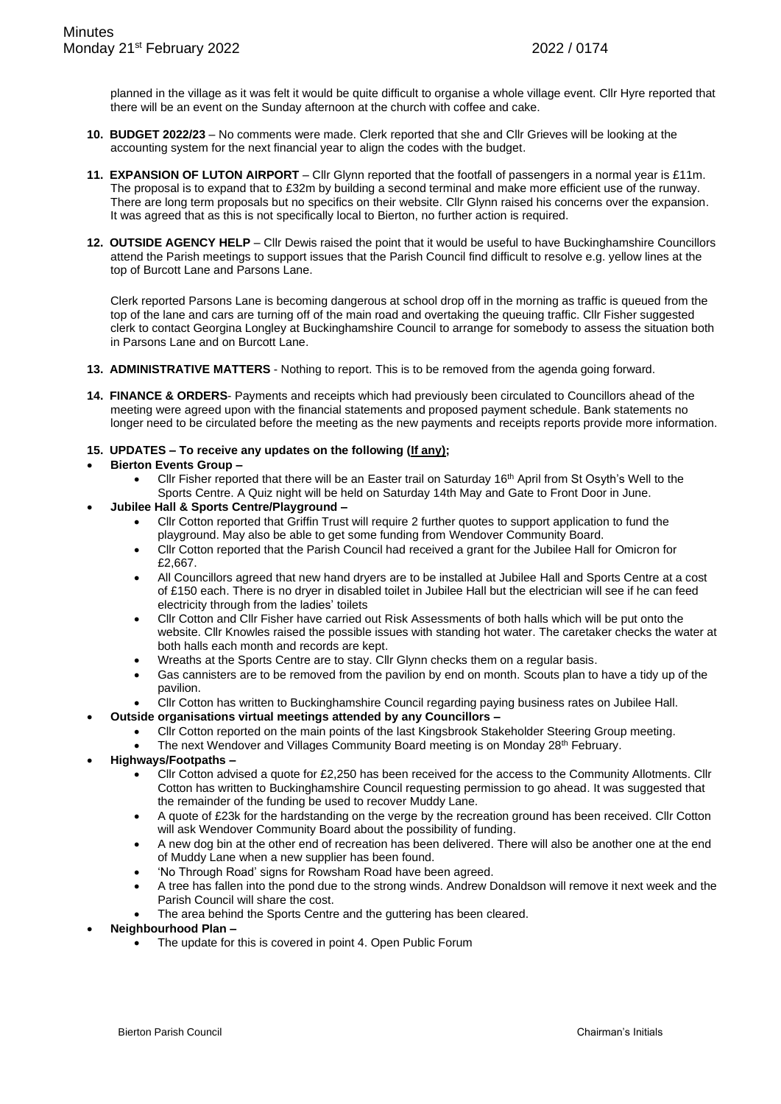planned in the village as it was felt it would be quite difficult to organise a whole village event. Cllr Hyre reported that there will be an event on the Sunday afternoon at the church with coffee and cake.

- **10. BUDGET 2022/23** No comments were made. Clerk reported that she and Cllr Grieves will be looking at the accounting system for the next financial year to align the codes with the budget.
- **11. EXPANSION OF LUTON AIRPORT** Cllr Glynn reported that the footfall of passengers in a normal year is £11m. The proposal is to expand that to £32m by building a second terminal and make more efficient use of the runway. There are long term proposals but no specifics on their website. Cllr Glynn raised his concerns over the expansion. It was agreed that as this is not specifically local to Bierton, no further action is required.
- **12. OUTSIDE AGENCY HELP**  Cllr Dewis raised the point that it would be useful to have Buckinghamshire Councillors attend the Parish meetings to support issues that the Parish Council find difficult to resolve e.g. yellow lines at the top of Burcott Lane and Parsons Lane.

Clerk reported Parsons Lane is becoming dangerous at school drop off in the morning as traffic is queued from the top of the lane and cars are turning off of the main road and overtaking the queuing traffic. Cllr Fisher suggested clerk to contact Georgina Longley at Buckinghamshire Council to arrange for somebody to assess the situation both in Parsons Lane and on Burcott Lane.

- **13. ADMINISTRATIVE MATTERS** Nothing to report. This is to be removed from the agenda going forward.
- **14. FINANCE & ORDERS** Payments and receipts which had previously been circulated to Councillors ahead of the meeting were agreed upon with the financial statements and proposed payment schedule. Bank statements no longer need to be circulated before the meeting as the new payments and receipts reports provide more information.

#### **15. UPDATES – To receive any updates on the following (If any);**

#### • **Bierton Events Group –**

- Cllr Fisher reported that there will be an Easter trail on Saturday  $16<sup>th</sup>$  April from St Osyth's Well to the Sports Centre. A Quiz night will be held on Saturday 14th May and Gate to Front Door in June.
- **Jubilee Hall & Sports Centre/Playground –**
	- Cllr Cotton reported that Griffin Trust will require 2 further quotes to support application to fund the playground. May also be able to get some funding from Wendover Community Board.
	- Cllr Cotton reported that the Parish Council had received a grant for the Jubilee Hall for Omicron for £2,667.
	- All Councillors agreed that new hand dryers are to be installed at Jubilee Hall and Sports Centre at a cost of £150 each. There is no dryer in disabled toilet in Jubilee Hall but the electrician will see if he can feed electricity through from the ladies' toilets
	- Cllr Cotton and Cllr Fisher have carried out Risk Assessments of both halls which will be put onto the website. Cllr Knowles raised the possible issues with standing hot water. The caretaker checks the water at both halls each month and records are kept.
	- Wreaths at the Sports Centre are to stay. Cllr Glynn checks them on a regular basis.
	- Gas cannisters are to be removed from the pavilion by end on month. Scouts plan to have a tidy up of the pavilion.
	- Cllr Cotton has written to Buckinghamshire Council regarding paying business rates on Jubilee Hall.
- **Outside organisations virtual meetings attended by any Councillors –**
	- Cllr Cotton reported on the main points of the last Kingsbrook Stakeholder Steering Group meeting.
		- The next Wendover and Villages Community Board meeting is on Monday 28<sup>th</sup> February.

## • **Highways/Footpaths –**

- Cllr Cotton advised a quote for £2,250 has been received for the access to the Community Allotments. Cllr Cotton has written to Buckinghamshire Council requesting permission to go ahead. It was suggested that the remainder of the funding be used to recover Muddy Lane.
- A quote of £23k for the hardstanding on the verge by the recreation ground has been received. Cllr Cotton will ask Wendover Community Board about the possibility of funding.
- A new dog bin at the other end of recreation has been delivered. There will also be another one at the end of Muddy Lane when a new supplier has been found.
- 'No Through Road' signs for Rowsham Road have been agreed.
- A tree has fallen into the pond due to the strong winds. Andrew Donaldson will remove it next week and the Parish Council will share the cost.
- The area behind the Sports Centre and the guttering has been cleared.
- **Neighbourhood Plan –**
	- The update for this is covered in point 4. Open Public Forum